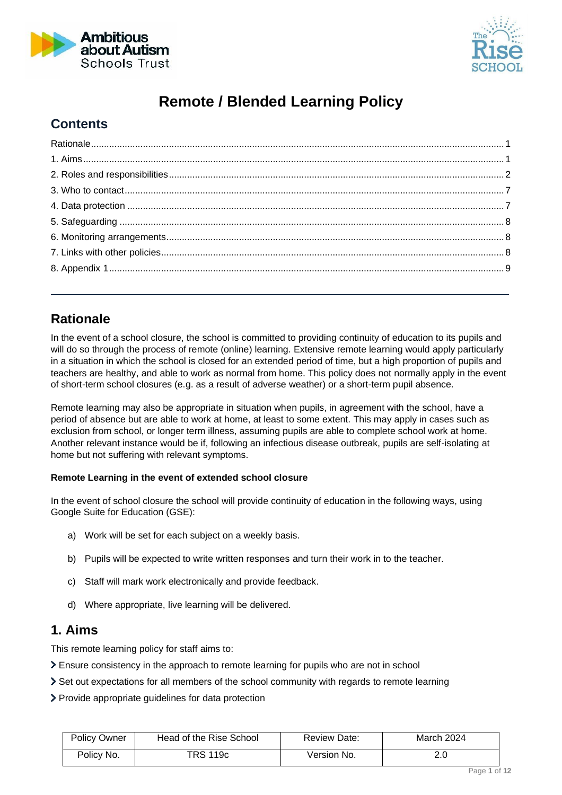



## **Remote / Blended Learning Policy**

### **Contents**

## <span id="page-0-0"></span>**Rationale**

In the event of a school closure, the school is committed to providing continuity of education to its pupils and will do so through the process of remote (online) learning. Extensive remote learning would apply particularly in a situation in which the school is closed for an extended period of time, but a high proportion of pupils and teachers are healthy, and able to work as normal from home. This policy does not normally apply in the event of short-term school closures (e.g. as a result of adverse weather) or a short-term pupil absence.

Remote learning may also be appropriate in situation when pupils, in agreement with the school, have a period of absence but are able to work at home, at least to some extent. This may apply in cases such as exclusion from school, or longer term illness, assuming pupils are able to complete school work at home. Another relevant instance would be if, following an infectious disease outbreak, pupils are self-isolating at home but not suffering with relevant symptoms.

#### **Remote Learning in the event of extended school closure**

In the event of school closure the school will provide continuity of education in the following ways, using Google Suite for Education (GSE):

- a) Work will be set for each subject on a weekly basis.
- b) Pupils will be expected to write written responses and turn their work in to the teacher.
- c) Staff will mark work electronically and provide feedback.
- d) Where appropriate, live learning will be delivered.

### <span id="page-0-1"></span>**1. Aims**

This remote learning policy for staff aims to:

- Ensure consistency in the approach to remote learning for pupils who are not in school
- Set out expectations for all members of the school community with regards to remote learning
- Provide appropriate guidelines for data protection

| <b>Policy Owner</b> | Head of the Rise School | Review Date: | March 2024 |
|---------------------|-------------------------|--------------|------------|
| Policy No.          | TRS 119c                | Version No.  |            |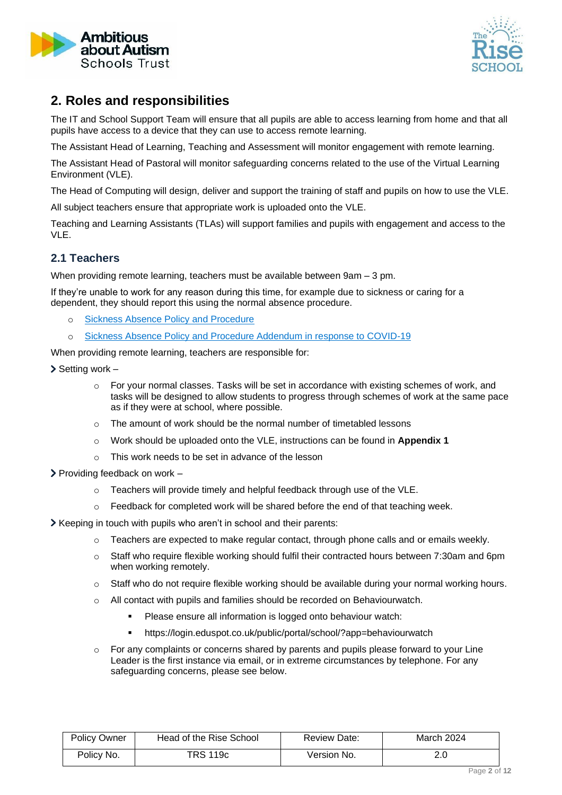



### <span id="page-1-0"></span>**2. Roles and responsibilities**

The IT and School Support Team will ensure that all pupils are able to access learning from home and that all pupils have access to a device that they can use to access remote learning.

The Assistant Head of Learning, Teaching and Assessment will monitor engagement with remote learning.

The Assistant Head of Pastoral will monitor safeguarding concerns related to the use of the Virtual Learning Environment (VLE).

The Head of Computing will design, deliver and support the training of staff and pupils on how to use the VLE.

All subject teachers ensure that appropriate work is uploaded onto the VLE.

Teaching and Learning Assistants (TLAs) will support families and pupils with engagement and access to the VLE.

#### **2.1 Teachers**

When providing remote learning, teachers must be available between 9am – 3 pm.

If they're unable to work for any reason during this time, for example due to sickness or caring for a dependent, they should report this using the normal absence procedure.

- o [Sickness Absence Policy and Procedure](https://ambitiousaboutautism.sharepoint.com/sites/policy/Published%20PPF/Forms/AllItems.aspx?id=%2Fsites%2Fpolicy%2FPublished%20PPF%2F027%20Sickness%20Absence%20Policy%20and%20Procedure%2Epdf&parent=%2Fsites%2Fpolicy%2FPublished%20PPF)
- o [Sickness Absence Policy and Procedure Addendum in response to COVID-19](https://ambitiousaboutautism.sharepoint.com/sites/policy/Published%20PPF/Forms/AllItems.aspx?id=%2Fsites%2Fpolicy%2FPublished%20PPF%2F0271%20Addendum%202%20to%20Sickness%20Absence%2C%20Special%20Leave%20of%20Absence%20and%20Family%20Leave%20Policies%20in%20response%20to%20Coronavirus%20%28COVID%2D19%29%20outbreak%2Epdf&parent=%2Fsites%2Fpolicy%2FPublished%20PPF)

When providing remote learning, teachers are responsible for:

- $\triangleright$  Setting work
	- o For your normal classes. Tasks will be set in accordance with existing schemes of work, and tasks will be designed to allow students to progress through schemes of work at the same pace as if they were at school, where possible.
	- o The amount of work should be the normal number of timetabled lessons
	- o Work should be uploaded onto the VLE, instructions can be found in **Appendix 1**
	- o This work needs to be set in advance of the lesson
- $\triangleright$  Providing feedback on work  $$ 
	- o Teachers will provide timely and helpful feedback through use of the VLE.
	- $\circ$  Feedback for completed work will be shared before the end of that teaching week.
- Keeping in touch with pupils who aren't in school and their parents:
	- o Teachers are expected to make regular contact, through phone calls and or emails weekly.
	- o Staff who require flexible working should fulfil their contracted hours between 7:30am and 6pm when working remotely.
	- o Staff who do not require flexible working should be available during your normal working hours.
	- o All contact with pupils and families should be recorded on Behaviourwatch.
		- **•** Please ensure all information is logged onto behaviour watch:
		- https://login.eduspot.co.uk/public/portal/school/?app=behaviourwatch
	- $\circ$  For any complaints or concerns shared by parents and pupils please forward to your Line Leader is the first instance via email, or in extreme circumstances by telephone. For any safeguarding concerns, please see below.

| <b>Policy Owner</b> | Head of the Rise School | Review Date: | March 2024 |
|---------------------|-------------------------|--------------|------------|
| Policy No.          | TRS 119c                | Version No.  |            |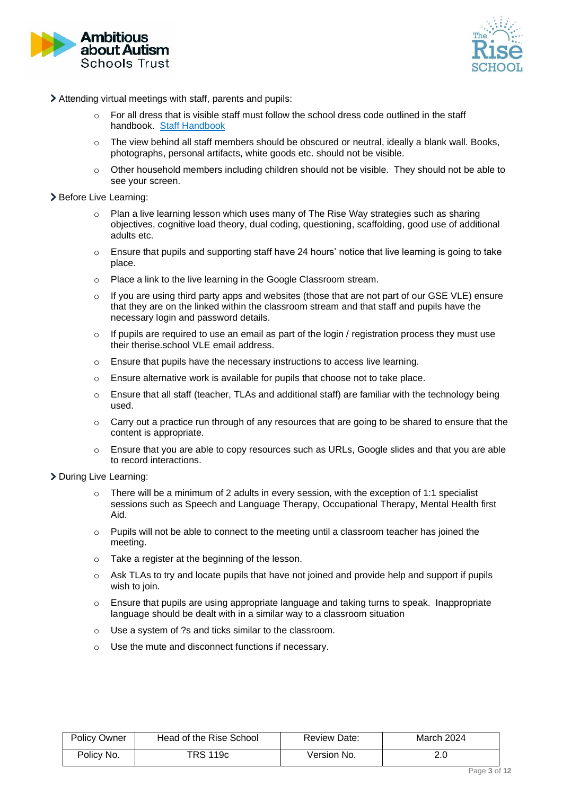



- Attending virtual meetings with staff, parents and pupils:
	- $\circ$  For all dress that is visible staff must follow the school dress code outlined in the staff handbook. [Staff Handbook](file:///C:/Users/Diana.white/Ambitious%20about%20Autism/The%20Rise%20School%20-%20Staff%20Info/Staff%20Handbook/Staff%20Handbook%202021-22%20FINAL%20with%20cover.pdf)
	- $\circ$  The view behind all staff members should be obscured or neutral, ideally a blank wall. Books, photographs, personal artifacts, white goods etc. should not be visible.
	- $\circ$  Other household members including children should not be visible. They should not be able to see your screen.

#### > Before Live Learning:

- Plan a live learning lesson which uses many of The Rise Way strategies such as sharing objectives, cognitive load theory, dual coding, questioning, scaffolding, good use of additional adults etc.
- o Ensure that pupils and supporting staff have 24 hours' notice that live learning is going to take place.
- o Place a link to the live learning in the Google Classroom stream.
- $\circ$  If you are using third party apps and websites (those that are not part of our GSE VLE) ensure that they are on the linked within the classroom stream and that staff and pupils have the necessary login and password details.
- $\circ$  If pupils are required to use an email as part of the login / registration process they must use their therise.school VLE email address.
- o Ensure that pupils have the necessary instructions to access live learning.
- $\circ$  Ensure alternative work is available for pupils that choose not to take place.
- $\circ$  Ensure that all staff (teacher, TLAs and additional staff) are familiar with the technology being used.
- $\circ$  Carry out a practice run through of any resources that are going to be shared to ensure that the content is appropriate.
- $\circ$  Ensure that you are able to copy resources such as URLs, Google slides and that you are able to record interactions.

#### > During Live Learning:

- $\circ$  There will be a minimum of 2 adults in every session, with the exception of 1:1 specialist sessions such as Speech and Language Therapy, Occupational Therapy, Mental Health first Aid.
- o Pupils will not be able to connect to the meeting until a classroom teacher has joined the meeting.
- o Take a register at the beginning of the lesson.
- $\circ$  Ask TLAs to try and locate pupils that have not ioined and provide help and support if pupils wish to join.
- $\circ$  Ensure that pupils are using appropriate language and taking turns to speak. Inappropriate language should be dealt with in a similar way to a classroom situation
- o Use a system of ?s and ticks similar to the classroom.
- o Use the mute and disconnect functions if necessary.

| <b>Policy Owner</b> | Head of the Rise School | Review Date: | March 2024 |
|---------------------|-------------------------|--------------|------------|
| Policy No.          | TRS 119c                | Version No.  |            |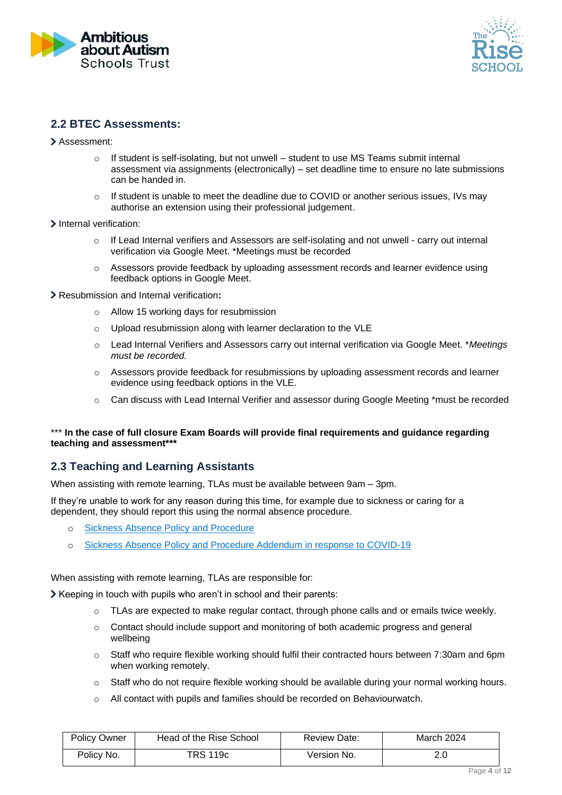



#### **2.2 BTEC Assessments:**

- Assessment:
	- If student is self-isolating, but not unwell student to use MS Teams submit internal assessment via assignments (electronically) – set deadline time to ensure no late submissions can be handed in.
	- $\circ$  If student is unable to meet the deadline due to COVID or another serious issues, IVs may authorise an extension using their professional judgement.
- > Internal verification:
	- o If Lead Internal verifiers and Assessors are self-isolating and not unwell carry out internal verification via Google Meet. \*Meetings must be recorded
	- $\circ$  Assessors provide feedback by uploading assessment records and learner evidence using feedback options in Google Meet.
- Resubmission and Internal verification**:** 
	- o Allow 15 working days for resubmission
	- o Upload resubmission along with learner declaration to the VLE
	- o Lead Internal Verifiers and Assessors carry out internal verification via Google Meet. \**Meetings must be recorded.*
	- $\circ$  Assessors provide feedback for resubmissions by uploading assessment records and learner evidence using feedback options in the VLE.
	- $\circ$  Can discuss with Lead Internal Verifier and assessor during Google Meeting \*must be recorded

#### \*\*\* **In the case of full closure Exam Boards will provide final requirements and guidance regarding teaching and assessment\*\*\***

#### **2.3 Teaching and Learning Assistants**

When assisting with remote learning, TLAs must be available between 9am – 3pm.

If they're unable to work for any reason during this time, for example due to sickness or caring for a dependent, they should report this using the normal absence procedure.

- o [Sickness Absence Policy and Procedure](https://ambitiousaboutautism.sharepoint.com/sites/policy/Published%20PPF/Forms/AllItems.aspx?id=%2Fsites%2Fpolicy%2FPublished%20PPF%2F027%20Sickness%20Absence%20Policy%20and%20Procedure%2Epdf&parent=%2Fsites%2Fpolicy%2FPublished%20PPF)
- o [Sickness Absence Policy and Procedure Addendum in response to COVID-19](https://ambitiousaboutautism.sharepoint.com/sites/policy/Published%20PPF/Forms/AllItems.aspx?id=%2Fsites%2Fpolicy%2FPublished%20PPF%2F0271%20Addendum%202%20to%20Sickness%20Absence%2C%20Special%20Leave%20of%20Absence%20and%20Family%20Leave%20Policies%20in%20response%20to%20Coronavirus%20%28COVID%2D19%29%20outbreak%2Epdf&parent=%2Fsites%2Fpolicy%2FPublished%20PPF)

When assisting with remote learning, TLAs are responsible for:

Keeping in touch with pupils who aren't in school and their parents:

- TLAs are expected to make regular contact, through phone calls and or emails twice weekly.
- $\circ$  Contact should include support and monitoring of both academic progress and general wellbeing
- o Staff who require flexible working should fulfil their contracted hours between 7:30am and 6pm when working remotely.
- o Staff who do not require flexible working should be available during your normal working hours.
- $\circ$  All contact with pupils and families should be recorded on Behaviourwatch.

| <b>Policy Owner</b> | Head of the Rise School | Review Date: | March 2024 |
|---------------------|-------------------------|--------------|------------|
| Policy No.          | TRS 119c                | Version No.  | 2.U        |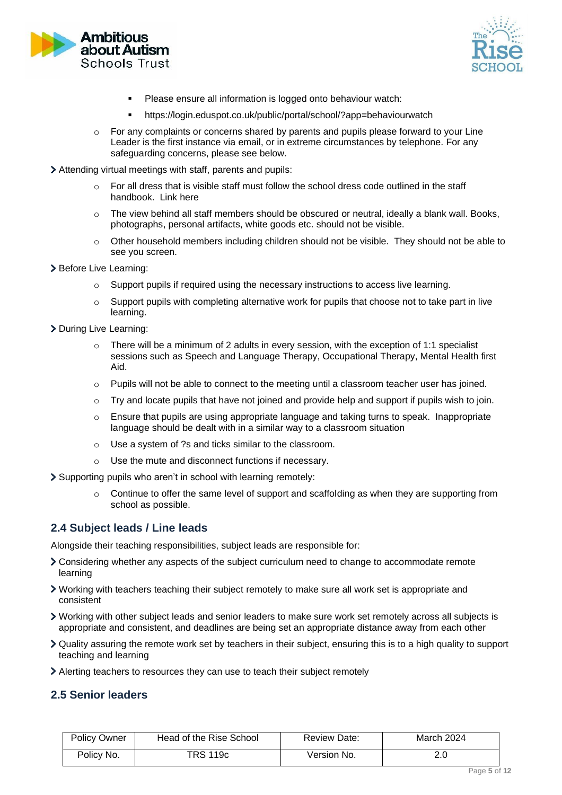



- Please ensure all information is logged onto behaviour watch:
- https://login.eduspot.co.uk/public/portal/school/?app=behaviourwatch
- $\circ$  For any complaints or concerns shared by parents and pupils please forward to your Line Leader is the first instance via email, or in extreme circumstances by telephone. For any safeguarding concerns, please see below.
- Attending virtual meetings with staff, parents and pupils:
	- $\circ$  For all dress that is visible staff must follow the school dress code outlined in the staff handbook. Link here
	- $\circ$  The view behind all staff members should be obscured or neutral, ideally a blank wall. Books, photographs, personal artifacts, white goods etc. should not be visible.
	- $\circ$  Other household members including children should not be visible. They should not be able to see you screen.
- > Before Live Learning:
	- $\circ$  Support pupils if required using the necessary instructions to access live learning.
	- $\circ$  Support pupils with completing alternative work for pupils that choose not to take part in live learning.
- > During Live Learning:
	- o There will be a minimum of 2 adults in every session, with the exception of 1:1 specialist sessions such as Speech and Language Therapy, Occupational Therapy, Mental Health first Aid.
	- $\circ$  Pupils will not be able to connect to the meeting until a classroom teacher user has joined.
	- $\circ$  Try and locate pupils that have not joined and provide help and support if pupils wish to join.
	- o Ensure that pupils are using appropriate language and taking turns to speak. Inappropriate language should be dealt with in a similar way to a classroom situation
	- o Use a system of ?s and ticks similar to the classroom.
	- o Use the mute and disconnect functions if necessary.
- Supporting pupils who aren't in school with learning remotely:
	- $\circ$  Continue to offer the same level of support and scaffolding as when they are supporting from school as possible.

#### **2.4 Subject leads / Line leads**

Alongside their teaching responsibilities, subject leads are responsible for:

- Considering whether any aspects of the subject curriculum need to change to accommodate remote learning
- Working with teachers teaching their subject remotely to make sure all work set is appropriate and consistent
- Working with other subject leads and senior leaders to make sure work set remotely across all subjects is appropriate and consistent, and deadlines are being set an appropriate distance away from each other
- Quality assuring the remote work set by teachers in their subject, ensuring this is to a high quality to support teaching and learning
- Alerting teachers to resources they can use to teach their subject remotely

#### **2.5 Senior leaders**

| <b>Policy Owner</b> | Head of the Rise School | Review Date: | March 2024 |
|---------------------|-------------------------|--------------|------------|
| Policy No.          | TRS 119c                | Version No.  |            |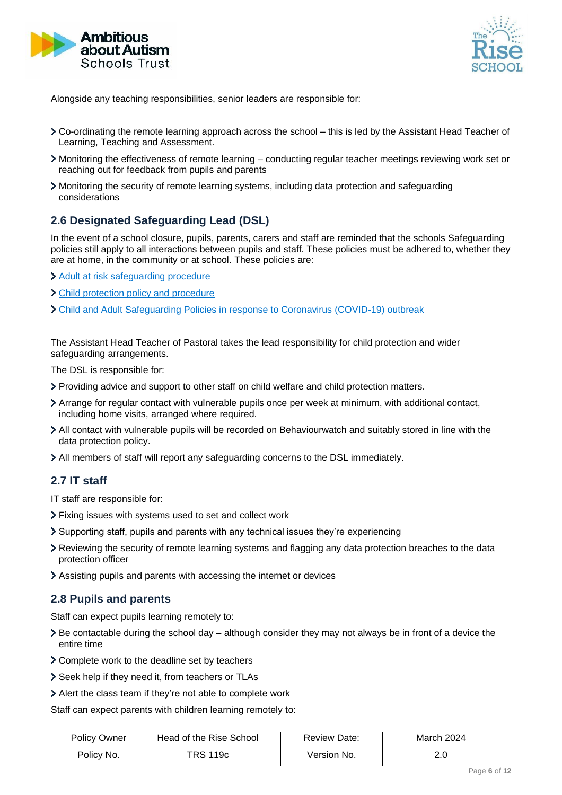



Alongside any teaching responsibilities, senior leaders are responsible for:

- Co-ordinating the remote learning approach across the school this is led by the Assistant Head Teacher of Learning, Teaching and Assessment.
- Monitoring the effectiveness of remote learning conducting regular teacher meetings reviewing work set or reaching out for feedback from pupils and parents
- Monitoring the security of remote learning systems, including data protection and safeguarding considerations

#### **2.6 Designated Safeguarding Lead (DSL)**

In the event of a school closure, pupils, parents, carers and staff are reminded that the schools Safeguarding policies still apply to all interactions between pupils and staff. These policies must be adhered to, whether they are at home, in the community or at school. These policies are:

- [Adult at risk safeguarding procedure](https://ambitiousaboutautism.sharepoint.com/sites/policy/Published%20PPF/Forms/AllItems.aspx?id=%2Fsites%2Fpolicy%2FPublished%20PPF%2F001c%20TRS%20Adult%20at%20Risk%20Safeguarding%20Policy%20Final%202020%2D21%20%2Epdf&parent=%2Fsites%2Fpolicy%2FPublished%20PPF)
- [Child protection policy and procedure](https://ambitiousaboutautism.sharepoint.com/sites/policy/Published%20PPF/Forms/AllItems.aspx?id=%2Fsites%2Fpolicy%2FPublished%20PPF%2F002c%20TRS%20Child%20Protection%20Policy%20and%20Procedure%20Final%202020%2D21%2Epdf&parent=%2Fsites%2Fpolicy%2FPublished%20PPF)
- [Child and Adult Safeguarding Policies in response to Coronavirus \(COVID-19\) outbreak](https://ambitiousaboutautism.sharepoint.com/sites/policy/Published%20PPF/Forms/AllItems.aspx?id=%2Fsites%2Fpolicy%2FPublished%20PPF%2F0020%2E%20COVID%2D19%2Dannex%2Dto%2Dchild%2Dand%2Dadult%2Dsafeguarding%20policies%2Epdf&parent=%2Fsites%2Fpolicy%2FPublished%20PPF)

The Assistant Head Teacher of Pastoral takes the lead responsibility for child protection and wider safeguarding arrangements.

The DSL is responsible for:

- Providing advice and support to other staff on child welfare and child protection matters.
- Arrange for regular contact with vulnerable pupils once per week at minimum, with additional contact, including home visits, arranged where required.
- All contact with vulnerable pupils will be recorded on Behaviourwatch and suitably stored in line with the data protection policy.
- All members of staff will report any safeguarding concerns to the DSL immediately.

#### **2.7 IT staff**

IT staff are responsible for:

- Fixing issues with systems used to set and collect work
- Supporting staff, pupils and parents with any technical issues they're experiencing
- Reviewing the security of remote learning systems and flagging any data protection breaches to the data protection officer
- Assisting pupils and parents with accessing the internet or devices

#### **2.8 Pupils and parents**

Staff can expect pupils learning remotely to:

- $\geq$  Be contactable during the school day although consider they may not always be in front of a device the entire time
- Complete work to the deadline set by teachers
- Seek help if they need it, from teachers or TLAs
- Alert the class team if they're not able to complete work

Staff can expect parents with children learning remotely to:

| <b>Policy Owner</b> | Head of the Rise School | Review Date: | March 2024 |
|---------------------|-------------------------|--------------|------------|
| Policy No.          | TRS 119c                | Version No.  | 2.0        |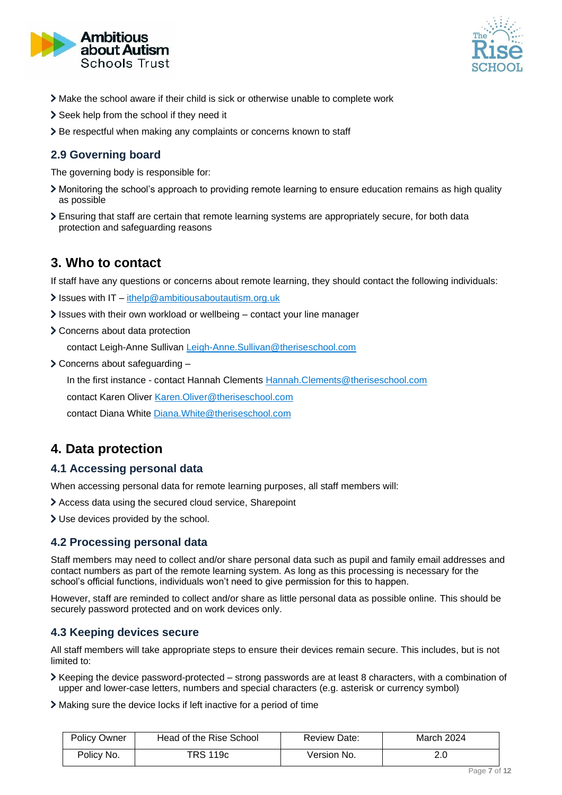



- Make the school aware if their child is sick or otherwise unable to complete work
- > Seek help from the school if they need it
- > Be respectful when making any complaints or concerns known to staff

#### **2.9 Governing board**

The governing body is responsible for:

- Monitoring the school's approach to providing remote learning to ensure education remains as high quality as possible
- Ensuring that staff are certain that remote learning systems are appropriately secure, for both data protection and safeguarding reasons

### <span id="page-6-0"></span>**3. Who to contact**

If staff have any questions or concerns about remote learning, they should contact the following individuals:

- $\sum$  Issues with IT [ithelp@ambitiousaboutautism.org.uk](mailto:ithelp@ambitiousaboutautism.org.uk)
- Issues with their own workload or wellbeing contact your line manager
- Concerns about data protection

contact Leigh-Anne Sullivan [Leigh-Anne.Sullivan@theriseschool.com](mailto:Leigh-Anne.Sullivan@theriseschool.com)

Concerns about safeguarding –

In the first instance - contact Hannah Clements [Hannah.Clements@theriseschool.com](mailto:Hannah.Clements@theriseschool.com)

contact Karen Oliver [Karen.Oliver@theriseschool.com](mailto:Karen.Oliver@theriseschool.com)

contact Diana White [Diana.White@theriseschool.com](mailto:Diana.White@theriseschool.com)

### <span id="page-6-1"></span>**4. Data protection**

#### **4.1 Accessing personal data**

When accessing personal data for remote learning purposes, all staff members will:

Access data using the secured cloud service, Sharepoint

Use devices provided by the school.

#### **4.2 Processing personal data**

Staff members may need to collect and/or share personal data such as pupil and family email addresses and contact numbers as part of the remote learning system. As long as this processing is necessary for the school's official functions, individuals won't need to give permission for this to happen.

However, staff are reminded to collect and/or share as little personal data as possible online. This should be securely password protected and on work devices only.

#### **4.3 Keeping devices secure**

All staff members will take appropriate steps to ensure their devices remain secure. This includes, but is not limited to:

 $\triangleright$  Keeping the device password-protected – strong passwords are at least 8 characters, with a combination of upper and lower-case letters, numbers and special characters (e.g. asterisk or currency symbol)

Making sure the device locks if left inactive for a period of time

| <b>Policy Owner</b> | Head of the Rise School | Review Date: | March 2024 |
|---------------------|-------------------------|--------------|------------|
| Policy No.          | TRS 119c                | Version No.  | ח ר<br>z.u |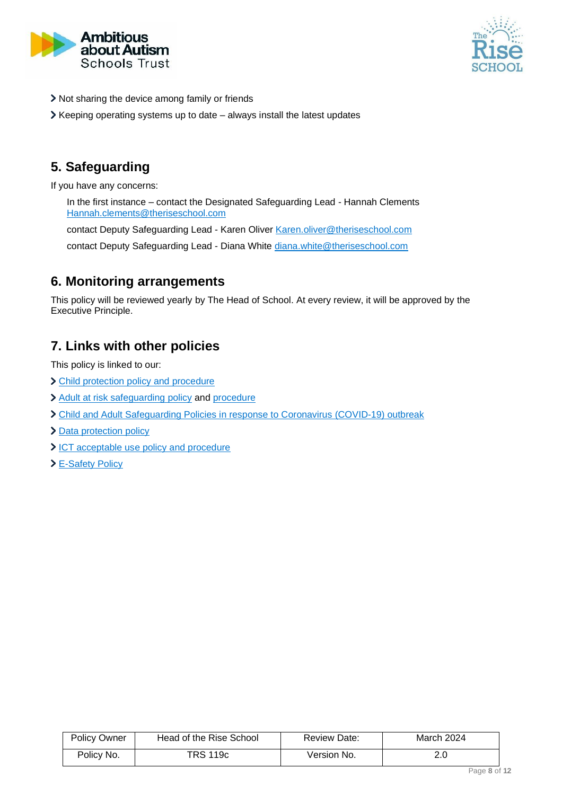



- > Not sharing the device among family or friends
- $\blacktriangleright$  Keeping operating systems up to date always install the latest updates

## <span id="page-7-0"></span>**5. Safeguarding**

If you have any concerns:

In the first instance – contact the Designated Safeguarding Lead - Hannah Clements [Hannah.clements@theriseschool.com](mailto:Hannah.Clements@theriseschool.com)

contact Deputy Safeguarding Lead - Karen Oliver [Karen.oliver@theriseschool.com](mailto:Karen.Oliver@theriseschool.com)

contact Deputy Safeguarding Lead - Diana White [diana.white@theriseschool.com](mailto:Diana.White@theriseschool.com)

### <span id="page-7-1"></span>**6. Monitoring arrangements**

This policy will be reviewed yearly by The Head of School. At every review, it will be approved by the Executive Principle.

### <span id="page-7-2"></span>**7. Links with other policies**

This policy is linked to our:

- > [Child protection policy](http://www.theriseschool.com/sites/default/files/policies/002c-TRS-Child-Protection-Policy-and-Procedure-Final-2020-21.pdf) and procedure
- > [Adult at risk safeguarding policy](http://www.theriseschool.com/sites/default/files/policies/001c-TRS-Adult-at-Risk-Safeguarding-Policy-Final-2020-21.pdf) and [procedure](http://www.theriseschool.com/sites/default/files/policies/001.1-Adult-at-Risk-Safeguarding-Procedure-Final-2020-21.pdf)
- [Child and Adult Safeguarding Policies in response to Coronavirus](http://www.theriseschool.com/sites/default/files/policies/COVID-19-annex-to-child-and-adult-safeguarding-policies.pdf) (COVID-19) outbreak
- > [Data protection policy](http://www.theriseschool.com/sites/default/files/policies/AaA-AaAST-094-Data-Protection-Policy-T12019.pdf)
- [ICT acceptable use policy and procedure](http://www.theriseschool.com/sites/default/files/policies/ICT-acceptable-use-policy-and-procedure-march-2020.pdf)
- [E-Safety Policy](http://www.theriseschool.com/sites/default/files/policies/e-safety-policy.pdf)

| <b>Policy Owner</b> | Head of the Rise School | Review Date: | March 2024 |
|---------------------|-------------------------|--------------|------------|
| Policy No.          | TRS 119c                | Version No.  |            |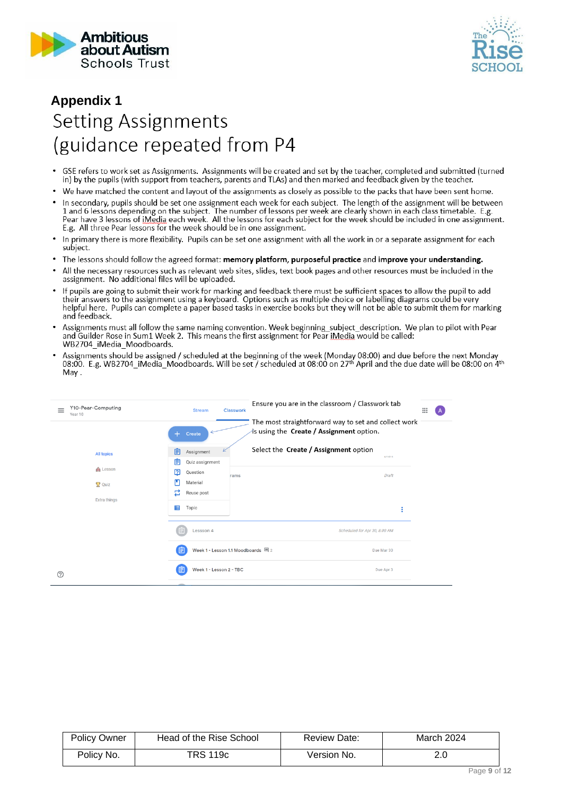



# <span id="page-8-0"></span>**Appendix 1Setting Assignments** (guidance repeated from P4

- GSE refers to work set as Assignments. Assignments will be created and set by the teacher, completed and submitted (turned<br>in) by the pupils (with support from teachers, parents and TLAs) and then marked and feedback give
- We have matched the content and layout of the assignments as closely as possible to the packs that have been sent home.
- In secondary, pupils should be set one assignment each week for each subject. The length of the assignment will be between<br>1 and 6 lessons depending on the subject. The number of lessons per week are clearly shown in each E.g. All three Pear lessons for the week should be in one assignment.
- In primary there is more flexibility. Pupils can be set one assignment with all the work in or a separate assignment for each subject.
- The lessons should follow the agreed format: memory platform, purposeful practice and improve your understanding.
- All the necessary resources such as relevant web sites, slides, text book pages and other resources must be included in the  $\ddot{\phantom{0}}$ assignment. No additional files will be uploaded.
- If pupils are going to submit their work for marking and feedback there must be sufficient spaces to allow the pupil to add their answers to the assignment using a keyboard. Options such as multiple choice or labelling diagrams could be very helpful here. Pupils can complete a paper based tasks in exercise books but they will not be able to submit them for marking and feedback.
- Assignments must all follow the same naming convention. Week beginning\_subject\_description. We plan to pilot with Pear and Guilder Rose in Sum1 Week 2. This means the first assignment for Pear iMedia would be called: WB2704\_iMedia\_Moodboards
- Assignments should be assigned / scheduled at the beginning of the week (Monday 08:00) and due before the next Monday<br>08:00. E.g. WB2704\_iMedia\_Moodboards. Will be set / scheduled at 08:00 on 27<sup>th</sup> April and the due date May.

| Y10-Pear-Computing<br>$\equiv$<br>Year 10 | <b>Stream</b><br><b>Classwork</b>                    | Ensure you are in the classroom / Classwork tab<br>$\mathop{\mathop{\cdots}}\nolimits$           |  |
|-------------------------------------------|------------------------------------------------------|--------------------------------------------------------------------------------------------------|--|
|                                           | Create<br>$+$                                        | The most straightforward way to set and collect work<br>is using the Create / Assignment option. |  |
| <b>All topics</b>                         | 自<br>Assignment<br>自<br>Quiz assignment              | Select the Create / Assignment option<br>$\omega$ <sub>c</sub> $\alpha$ <sub>c</sub>             |  |
| <b>R</b> Lesson<br>Quiz                   | 囨<br>Question<br>rams<br>Material<br>旵<br>Reuse post | Draft                                                                                            |  |
| <b>Extra things</b>                       | 眉<br>Topic                                           | ÷                                                                                                |  |
|                                           | 日<br>Lessson 4                                       | Scheduled for Apr 30, 8:00 AM                                                                    |  |
|                                           | Week 1 - Lesson 1.1 Moodboards 国 2<br>旧              | Due Mar 30                                                                                       |  |
| ℗                                         | Week 1 - Lesson 2 - TBC<br>E                         | Due Apr 3                                                                                        |  |

| Policy Owner | Head of the Rise School | Review Date: | March 2024 |
|--------------|-------------------------|--------------|------------|
| Policy No.   | TRS 119c                | Version No.  | 2.U        |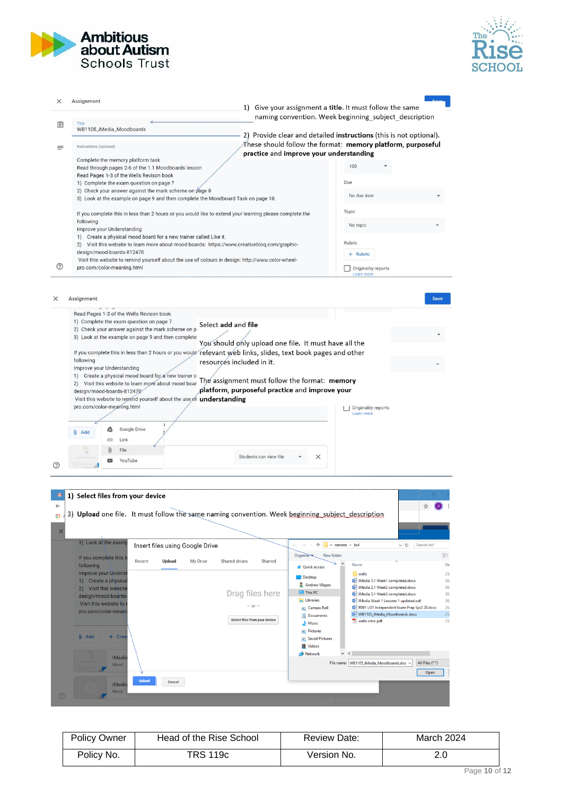



| ×                 | Assignment                                                                                                                                                                                                                                    |                                                                                                                                       |
|-------------------|-----------------------------------------------------------------------------------------------------------------------------------------------------------------------------------------------------------------------------------------------|---------------------------------------------------------------------------------------------------------------------------------------|
|                   |                                                                                                                                                                                                                                               | 1) Give your assignment a <b>title</b> . It must follow the same                                                                      |
| 圁                 | Title                                                                                                                                                                                                                                         | naming convention. Week beginning subject description                                                                                 |
|                   | WB1105_iMedia_Moodboards                                                                                                                                                                                                                      | 2) Provide clear and detailed instructions (this is not optional).                                                                    |
| Ξ                 | Instructions (optional)                                                                                                                                                                                                                       | These should follow the format: memory platform, purposeful                                                                           |
|                   | Complete the memory platform task                                                                                                                                                                                                             | practice and improve your understanding                                                                                               |
|                   | Read through pages 2-6 of the 1.1 Moodboards lesson                                                                                                                                                                                           | 100                                                                                                                                   |
|                   | Read Pages 1-3 of the Wells Revison book                                                                                                                                                                                                      | Due                                                                                                                                   |
|                   | 1) Complete the exam question on page 7<br>2) Check your answer against the mark scheme on page 8                                                                                                                                             |                                                                                                                                       |
|                   | 3) Look at the example on page 9 and then complete the Moodboard Task on page 10.                                                                                                                                                             | No due date                                                                                                                           |
|                   | If you complete this in less than 2 hours or you would like to extend your learning please complete the                                                                                                                                       | Topic                                                                                                                                 |
|                   | following                                                                                                                                                                                                                                     | No topic                                                                                                                              |
|                   | Improve your Understanding<br>1) Create a physical mood board for a new trainer called Like it.                                                                                                                                               |                                                                                                                                       |
|                   | 2) Visit this website to learn more about mood boards: https://www.creativebloq.com/graphic-                                                                                                                                                  | Rubric                                                                                                                                |
|                   | design/mood-boards-812470<br>Visit this website to remind yourself about the use of colours in design: http://www.color-wheel-                                                                                                                | + Rubric                                                                                                                              |
| ℗                 | pro.com/color-meaning.html                                                                                                                                                                                                                    | Originality reports                                                                                                                   |
|                   |                                                                                                                                                                                                                                               | Learn more                                                                                                                            |
|                   | 1) Create a physical mood board for a new trainer c<br>2) Visit this website to learn more about mood boar<br>design/mood-boards-812470<br>Visit this website to remind yourself about the use of understanding<br>pro.com/color-meaning.html | The assignment must follow the format: memory<br>platform, purposeful practice and improve your<br>  Originality reports              |
|                   | Google Drive<br>Δ<br>Add<br>Link<br>GD<br>File                                                                                                                                                                                                | Learn more                                                                                                                            |
| (?)               | YouTube                                                                                                                                                                                                                                       | Students can view file<br>×                                                                                                           |
| $\leftarrow$<br>m | 1) Select files from your device<br>3) Upload one file. It must follow the same naming convention. Week beginning subject description                                                                                                         |                                                                                                                                       |
|                   | 3) Look at the examp<br>Insert files using Google Drive                                                                                                                                                                                       | « remote » ks4<br>Search ks4<br>个<br>$\sim$ 0                                                                                         |
|                   | If you complete this in<br>Recent<br>Upload<br>My Drive                                                                                                                                                                                       | BEE<br>Organise<br>New folder<br>Shared drives<br>Starred                                                                             |
|                   | following<br><b>Improve your Underst</b>                                                                                                                                                                                                      | Da<br>Name<br><b>Quick access</b>                                                                                                     |
|                   | 1) Create a physical                                                                                                                                                                                                                          | 25 <sub>i</sub><br>wells<br>Desktop<br>iMedia 1.1 Week1 completed.docx<br>30/                                                         |
|                   | 2) Visit this website                                                                                                                                                                                                                         | Andrew Magee<br>iMedia 2.1 Week2 completed.docx<br>30/<br>$\Box$ This PC<br>Drag files here<br>iMedia 3.1 Week3 completed.docx<br>30/ |
|                   | design/mood-boards-<br>Visit this website to                                                                                                                                                                                                  | <b>Exercise</b><br>iMedia Week 1 Lessons 1 updated.odt<br>26 <sub>i</sub><br>$-$ or $-$                                               |
|                   | pro.com/color-meani                                                                                                                                                                                                                           | R081 LO1 Independent Exam Prep Spr2 20.docx<br>26/<br>Camera Roll<br>25/<br>WB1105_iMedia_Moodboards.docx<br>Documents                |
|                   |                                                                                                                                                                                                                                               | Select files from your device<br>wells intro.pdf<br>25 <sub>i</sub><br>Music                                                          |
|                   | $0$ Add<br>$+$ Crea                                                                                                                                                                                                                           | $\Box$ Pictures<br>Saved Pictures                                                                                                     |
|                   |                                                                                                                                                                                                                                               | <b>图 Videos</b>                                                                                                                       |
|                   | <b>iMedia</b>                                                                                                                                                                                                                                 | Network                                                                                                                               |
|                   | Word                                                                                                                                                                                                                                          | File name: WB1105_iMedia_Moodboards.doc ~<br>All Files (*.*)                                                                          |
|                   | <b>Upload</b><br>Cancel<br><b>iMedia</b>                                                                                                                                                                                                      | Open                                                                                                                                  |

| <b>Policy Owner</b> | Head of the Rise School | Review Date: | March 2024 |
|---------------------|-------------------------|--------------|------------|
| Policy No.          | TRS 119c                | Version No.  | ח ר<br>z.u |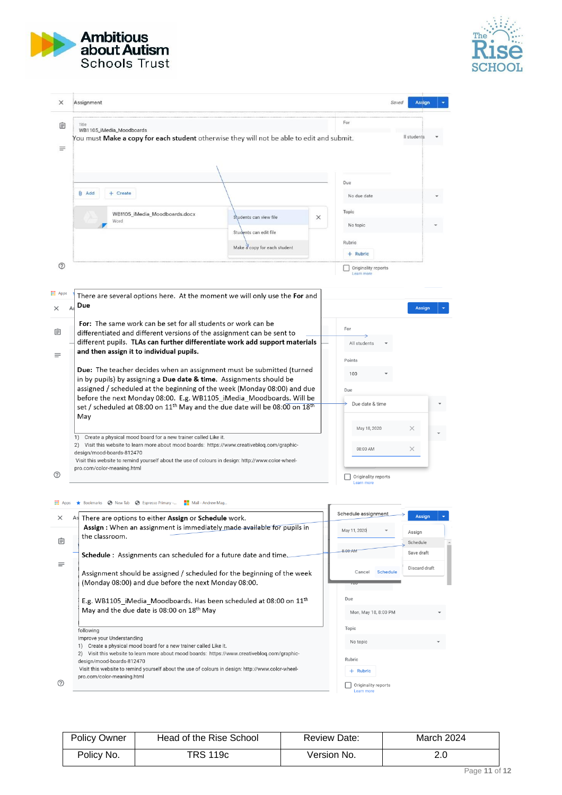



|                                   | Assignment                                                                                                                                                                                                                                                                                                                                                                                                         | Saved                                             | <b>Assign</b> |
|-----------------------------------|--------------------------------------------------------------------------------------------------------------------------------------------------------------------------------------------------------------------------------------------------------------------------------------------------------------------------------------------------------------------------------------------------------------------|---------------------------------------------------|---------------|
| 自<br>Ξ                            | WB1105_iMedia_Moodboards<br>You must Make a copy for each student otherwise they will not be able to edit and submit.                                                                                                                                                                                                                                                                                              | For                                               | Il students   |
|                                   | <b>Add</b><br>+ Create<br>WB1105_iMedia_Moodboards.docx<br>Students can view file<br>$\times$<br>Word<br>Students can edit file<br>Make a copy for each student                                                                                                                                                                                                                                                    | Due<br>No due date<br>Topic<br>No topic<br>Rubric |               |
| $\circledcirc$<br><b>III</b> Apps | There are several options here. At the moment we will only use the For and<br>Due<br>A                                                                                                                                                                                                                                                                                                                             | $+$ Rubric<br>Originality reports<br>Learn more   |               |
|                                   |                                                                                                                                                                                                                                                                                                                                                                                                                    |                                                   | <b>Assign</b> |
|                                   | For: The same work can be set for all students or work can be<br>differentiated and different versions of the assignment can be sent to<br>different pupils. TLAs can further differentiate work add support materials<br>and then assign it to individual pupils.<br>Due: The teacher decides when an assignment must be submitted (turned<br>in by pupils) by assigning a Due date & time. Assignments should be | For<br>All students<br>Points<br>100              |               |
|                                   | assigned / scheduled at the beginning of the week (Monday 08:00) and due<br>before the next Monday 08:00. E.g. WB1105 iMedia Moodboards. Will be<br>set / scheduled at 08:00 on 11 <sup>th</sup> May and the due date will be 08:00 on 18 <sup>th</sup><br>May                                                                                                                                                     | Due<br>Due date & time<br>May 18, 2020            | ×.            |

| $\times$    | As There are options to either Assign or Schedule work.                                                                                                                                                                                                   | Schedule assignment                                   | Assign                 |
|-------------|-----------------------------------------------------------------------------------------------------------------------------------------------------------------------------------------------------------------------------------------------------------|-------------------------------------------------------|------------------------|
|             | Assign: When an assignment is immediately made available for pupils in<br>the classroom.                                                                                                                                                                  | May 11, 2020                                          | Assign                 |
| 自           | <b>Schedule:</b> Assignments can scheduled for a future date and time.                                                                                                                                                                                    | 8:00 AM                                               | Schedule<br>Save draft |
| $\equiv$    | Assignment should be assigned / scheduled for the beginning of the week<br>(Monday 08:00) and due before the next Monday 08:00.                                                                                                                           | <b>Schedule</b><br>Cancel<br>$\overline{\phantom{0}}$ | Discard draft          |
|             | E.g. WB1105 iMedia Moodboards. Has been scheduled at 08:00 on 11 <sup>th</sup><br>May and the due date is 08:00 on 18 <sup>th</sup> May                                                                                                                   | Due<br>Mon, May 18, 8:00 PM                           |                        |
|             | following<br>Improve your Understanding<br>Create a physical mood board for a new trainer called Like it.                                                                                                                                                 | Topic<br>No topic                                     |                        |
| $\circledR$ | Visit this website to learn more about mood boards: https://www.creativeblog.com/graphic-<br>design/mood-boards-812470<br>Visit this website to remind yourself about the use of colours in design: http://www.color-wheel-<br>pro.com/color-meaning.html | Rubric<br>$+$ Rubric<br>Originality reports           |                        |

Policy Owner | Head of the Rise School | Review Date: | March 2024 Policy No. **TRS 119c** Version No. 2.0